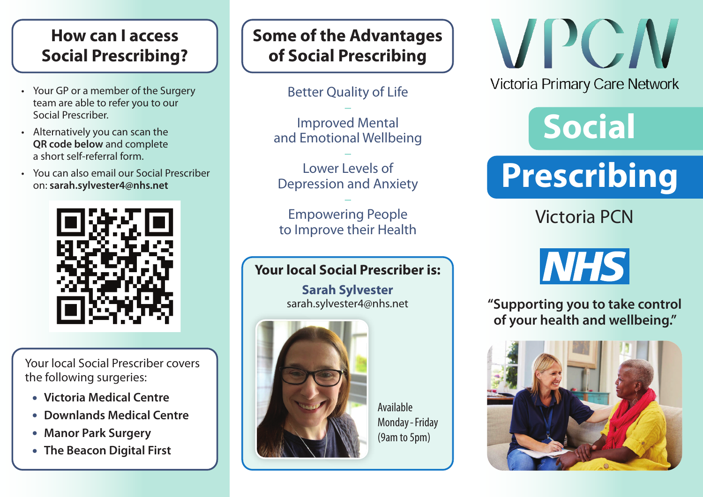### **How can I access Social Prescribing?**

- Your GP or a member of the Surgery team are able to refer you to our Social Prescriber.
- Alternatively you can scan the **QR code below** and complete a short self-referral form.
- You can also email our Social Prescriber on: **sarah.sylvester4@nhs.net**



Your local Social Prescriber covers the following surgeries:

- **• Victoria Medical Centre**
- **• Downlands Medical Centre**
- **• Manor Park Surgery**
- **• The Beacon Digital First**

## **Some of the Advantages of Social Prescribing**

Better Quality of Life

– Improved Mental and Emotional Wellbeing

– Lower Levels of Depression and Anxiety

– Empowering People to Improve their Health

#### **Your local Social Prescriber is:**

**Sarah Sylvester** sarah.sylvester4@nhs.net



Available Monday-Friday (9am to 5pm)

VPCM **Victoria Primary Care Network** 

## **Social**

# **Prescribing**

Victoria PCN

## **NHS**

**"Supporting you to take control of your health and wellbeing."**